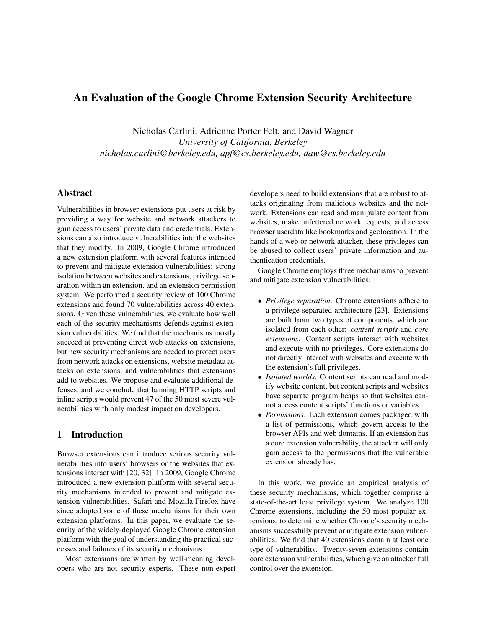# An Evaluation of the Google Chrome Extension Security Architecture

Nicholas Carlini, Adrienne Porter Felt, and David Wagner *University of California, Berkeley nicholas.carlini@berkeley.edu, apf@cs.berkeley.edu, daw@cs.berkeley.edu*

## Abstract

Vulnerabilities in browser extensions put users at risk by providing a way for website and network attackers to gain access to users' private data and credentials. Extensions can also introduce vulnerabilities into the websites that they modify. In 2009, Google Chrome introduced a new extension platform with several features intended to prevent and mitigate extension vulnerabilities: strong isolation between websites and extensions, privilege separation within an extension, and an extension permission system. We performed a security review of 100 Chrome extensions and found 70 vulnerabilities across 40 extensions. Given these vulnerabilities, we evaluate how well each of the security mechanisms defends against extension vulnerabilities. We find that the mechanisms mostly succeed at preventing direct web attacks on extensions, but new security mechanisms are needed to protect users from network attacks on extensions, website metadata attacks on extensions, and vulnerabilities that extensions add to websites. We propose and evaluate additional defenses, and we conclude that banning HTTP scripts and inline scripts would prevent 47 of the 50 most severe vulnerabilities with only modest impact on developers.

## 1 Introduction

Browser extensions can introduce serious security vulnerabilities into users' browsers or the websites that extensions interact with [20, 32]. In 2009, Google Chrome introduced a new extension platform with several security mechanisms intended to prevent and mitigate extension vulnerabilities. Safari and Mozilla Firefox have since adopted some of these mechanisms for their own extension platforms. In this paper, we evaluate the security of the widely-deployed Google Chrome extension platform with the goal of understanding the practical successes and failures of its security mechanisms.

Most extensions are written by well-meaning developers who are not security experts. These non-expert developers need to build extensions that are robust to attacks originating from malicious websites and the network. Extensions can read and manipulate content from websites, make unfettered network requests, and access browser userdata like bookmarks and geolocation. In the hands of a web or network attacker, these privileges can be abused to collect users' private information and authentication credentials.

Google Chrome employs three mechanisms to prevent and mitigate extension vulnerabilities:

- *Privilege separation*. Chrome extensions adhere to a privilege-separated architecture [23]. Extensions are built from two types of components, which are isolated from each other: *content scripts* and *core extensions*. Content scripts interact with websites and execute with no privileges. Core extensions do not directly interact with websites and execute with the extension's full privileges.
- *Isolated worlds*. Content scripts can read and modify website content, but content scripts and websites have separate program heaps so that websites cannot access content scripts' functions or variables.
- *Permissions*. Each extension comes packaged with a list of permissions, which govern access to the browser APIs and web domains. If an extension has a core extension vulnerability, the attacker will only gain access to the permissions that the vulnerable extension already has.

In this work, we provide an empirical analysis of these security mechanisms, which together comprise a state-of-the-art least privilege system. We analyze 100 Chrome extensions, including the 50 most popular extensions, to determine whether Chrome's security mechanisms successfully prevent or mitigate extension vulnerabilities. We find that 40 extensions contain at least one type of vulnerability. Twenty-seven extensions contain core extension vulnerabilities, which give an attacker full control over the extension.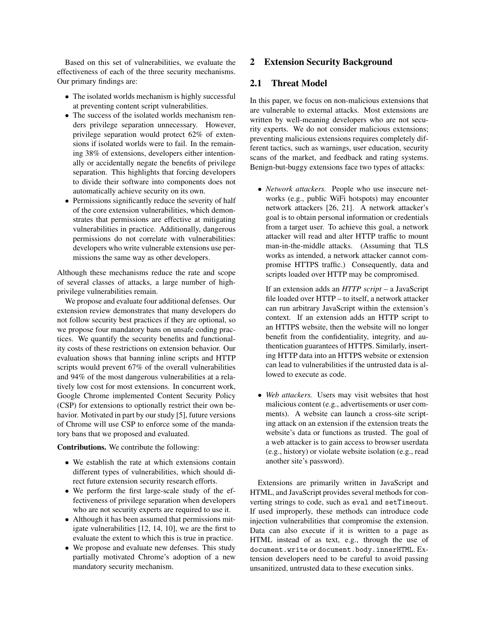Based on this set of vulnerabilities, we evaluate the effectiveness of each of the three security mechanisms. Our primary findings are:

- The isolated worlds mechanism is highly successful at preventing content script vulnerabilities.
- The success of the isolated worlds mechanism renders privilege separation unnecessary. However, privilege separation would protect 62% of extensions if isolated worlds were to fail. In the remaining 38% of extensions, developers either intentionally or accidentally negate the benefits of privilege separation. This highlights that forcing developers to divide their software into components does not automatically achieve security on its own.
- Permissions significantly reduce the severity of half of the core extension vulnerabilities, which demonstrates that permissions are effective at mitigating vulnerabilities in practice. Additionally, dangerous permissions do not correlate with vulnerabilities: developers who write vulnerable extensions use permissions the same way as other developers.

Although these mechanisms reduce the rate and scope of several classes of attacks, a large number of highprivilege vulnerabilities remain.

We propose and evaluate four additional defenses. Our extension review demonstrates that many developers do not follow security best practices if they are optional, so we propose four mandatory bans on unsafe coding practices. We quantify the security benefits and functionality costs of these restrictions on extension behavior. Our evaluation shows that banning inline scripts and HTTP scripts would prevent 67% of the overall vulnerabilities and 94% of the most dangerous vulnerabilities at a relatively low cost for most extensions. In concurrent work, Google Chrome implemented Content Security Policy (CSP) for extensions to optionally restrict their own behavior. Motivated in part by our study [5], future versions of Chrome will use CSP to enforce some of the mandatory bans that we proposed and evaluated.

Contributions. We contribute the following:

- We establish the rate at which extensions contain different types of vulnerabilities, which should direct future extension security research efforts.
- We perform the first large-scale study of the effectiveness of privilege separation when developers who are not security experts are required to use it.
- Although it has been assumed that permissions mitigate vulnerabilities [12, 14, 10], we are the first to evaluate the extent to which this is true in practice.
- We propose and evaluate new defenses. This study partially motivated Chrome's adoption of a new mandatory security mechanism.

## 2 Extension Security Background

## 2.1 Threat Model

In this paper, we focus on non-malicious extensions that are vulnerable to external attacks. Most extensions are written by well-meaning developers who are not security experts. We do not consider malicious extensions; preventing malicious extensions requires completely different tactics, such as warnings, user education, security scans of the market, and feedback and rating systems. Benign-but-buggy extensions face two types of attacks:

• *Network attackers.* People who use insecure networks (e.g., public WiFi hotspots) may encounter network attackers [26, 21]. A network attacker's goal is to obtain personal information or credentials from a target user. To achieve this goal, a network attacker will read and alter HTTP traffic to mount man-in-the-middle attacks. (Assuming that TLS works as intended, a network attacker cannot compromise HTTPS traffic.) Consequently, data and scripts loaded over HTTP may be compromised.

If an extension adds an *HTTP script* – a JavaScript file loaded over HTTP – to itself, a network attacker can run arbitrary JavaScript within the extension's context. If an extension adds an HTTP script to an HTTPS website, then the website will no longer benefit from the confidentiality, integrity, and authentication guarantees of HTTPS. Similarly, inserting HTTP data into an HTTPS website or extension can lead to vulnerabilities if the untrusted data is allowed to execute as code.

• *Web attackers.* Users may visit websites that host malicious content (e.g., advertisements or user comments). A website can launch a cross-site scripting attack on an extension if the extension treats the website's data or functions as trusted. The goal of a web attacker is to gain access to browser userdata (e.g., history) or violate website isolation (e.g., read another site's password).

Extensions are primarily written in JavaScript and HTML, and JavaScript provides several methods for converting strings to code, such as eval and setTimeout. If used improperly, these methods can introduce code injection vulnerabilities that compromise the extension. Data can also execute if it is written to a page as HTML instead of as text, e.g., through the use of document.write or document.body.innerHTML. Extension developers need to be careful to avoid passing unsanitized, untrusted data to these execution sinks.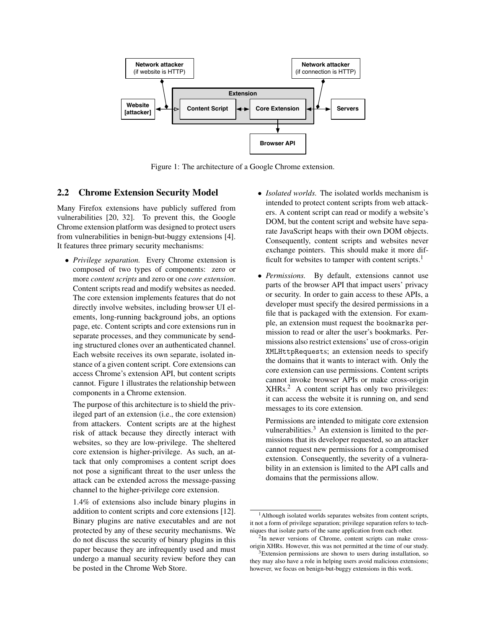

Figure 1: The architecture of a Google Chrome extension.

## 2.2 Chrome Extension Security Model

Many Firefox extensions have publicly suffered from vulnerabilities [20, 32]. To prevent this, the Google Chrome extension platform was designed to protect users from vulnerabilities in benign-but-buggy extensions [4]. It features three primary security mechanisms:

• *Privilege separation.* Every Chrome extension is composed of two types of components: zero or more *content scripts* and zero or one *core extension*. Content scripts read and modify websites as needed. The core extension implements features that do not directly involve websites, including browser UI elements, long-running background jobs, an options page, etc. Content scripts and core extensions run in separate processes, and they communicate by sending structured clones over an authenticated channel. Each website receives its own separate, isolated instance of a given content script. Core extensions can access Chrome's extension API, but content scripts cannot. Figure 1 illustrates the relationship between components in a Chrome extension.

The purpose of this architecture is to shield the privileged part of an extension (i.e., the core extension) from attackers. Content scripts are at the highest risk of attack because they directly interact with websites, so they are low-privilege. The sheltered core extension is higher-privilege. As such, an attack that only compromises a content script does not pose a significant threat to the user unless the attack can be extended across the message-passing channel to the higher-privilege core extension.

1.4% of extensions also include binary plugins in addition to content scripts and core extensions [12]. Binary plugins are native executables and are not protected by any of these security mechanisms. We do not discuss the security of binary plugins in this paper because they are infrequently used and must undergo a manual security review before they can be posted in the Chrome Web Store.

- *Isolated worlds.* The isolated worlds mechanism is intended to protect content scripts from web attackers. A content script can read or modify a website's DOM, but the content script and website have separate JavaScript heaps with their own DOM objects. Consequently, content scripts and websites never exchange pointers. This should make it more difficult for websites to tamper with content scripts.<sup>1</sup>
- *Permissions.* By default, extensions cannot use parts of the browser API that impact users' privacy or security. In order to gain access to these APIs, a developer must specify the desired permissions in a file that is packaged with the extension. For example, an extension must request the bookmarks permission to read or alter the user's bookmarks. Permissions also restrict extensions' use of cross-origin XMLHttpRequests; an extension needs to specify the domains that it wants to interact with. Only the core extension can use permissions. Content scripts cannot invoke browser APIs or make cross-origin XHRs.<sup>2</sup> A content script has only two privileges: it can access the website it is running on, and send messages to its core extension.

Permissions are intended to mitigate core extension vulnerabilities. $3$  An extension is limited to the permissions that its developer requested, so an attacker cannot request new permissions for a compromised extension. Consequently, the severity of a vulnerability in an extension is limited to the API calls and domains that the permissions allow.

<sup>1</sup>Although isolated worlds separates websites from content scripts, it not a form of privilege separation; privilege separation refers to techniques that isolate parts of the same application from each other.

<sup>&</sup>lt;sup>2</sup>In newer versions of Chrome, content scripts can make crossorigin XHRs. However, this was not permitted at the time of our study.

<sup>&</sup>lt;sup>3</sup>Extension permissions are shown to users during installation, so they may also have a role in helping users avoid malicious extensions; however, we focus on benign-but-buggy extensions in this work.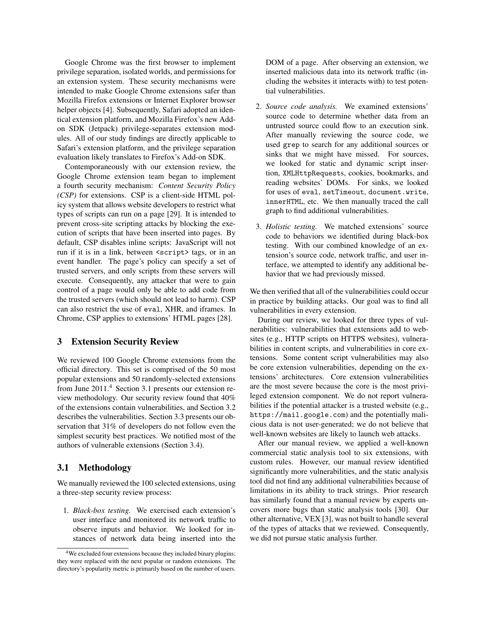Google Chrome was the first browser to implement privilege separation, isolated worlds, and permissions for an extension system. These security mechanisms were intended to make Google Chrome extensions safer than Mozilla Firefox extensions or Internet Explorer browser helper objects [4]. Subsequently, Safari adopted an identical extension platform, and Mozilla Firefox's new Addon SDK (Jetpack) privilege-separates extension modules. All of our study findings are directly applicable to Safari's extension platform, and the privilege separation evaluation likely translates to Firefox's Add-on SDK.

Contemporaneously with our extension review, the Google Chrome extension team began to implement a fourth security mechanism: *Content Security Policy (CSP)* for extensions. CSP is a client-side HTML policy system that allows website developers to restrict what types of scripts can run on a page [29]. It is intended to prevent cross-site scripting attacks by blocking the execution of scripts that have been inserted into pages. By default, CSP disables inline scripts: JavaScript will not run if it is in a link, between <script> tags, or in an event handler. The page's policy can specify a set of trusted servers, and only scripts from these servers will execute. Consequently, any attacker that were to gain control of a page would only be able to add code from the trusted servers (which should not lead to harm). CSP can also restrict the use of eval, XHR, and iframes. In Chrome, CSP applies to extensions' HTML pages [28].

### 3 Extension Security Review

We reviewed 100 Google Chrome extensions from the official directory. This set is comprised of the 50 most popular extensions and 50 randomly-selected extensions from June 2011.<sup>4</sup> Section 3.1 presents our extension review methodology. Our security review found that 40% of the extensions contain vulnerabilities, and Section 3.2 describes the vulnerabilities. Section 3.3 presents our observation that 31% of developers do not follow even the simplest security best practices. We notified most of the authors of vulnerable extensions (Section 3.4).

#### 3.1 Methodology

We manually reviewed the 100 selected extensions, using a three-step security review process:

1. *Black-box testing.* We exercised each extension's user interface and monitored its network traffic to observe inputs and behavior. We looked for instances of network data being inserted into the DOM of a page. After observing an extension, we inserted malicious data into its network traffic (including the websites it interacts with) to test potential vulnerabilities.

- 2. *Source code analysis.* We examined extensions' source code to determine whether data from an untrusted source could flow to an execution sink. After manually reviewing the source code, we used grep to search for any additional sources or sinks that we might have missed. For sources, we looked for static and dynamic script insertion, XMLHttpRequests, cookies, bookmarks, and reading websites' DOMs. For sinks, we looked for uses of eval, setTimeout, document.write, innerHTML, etc. We then manually traced the call graph to find additional vulnerabilities.
- 3. *Holistic testing.* We matched extensions' source code to behaviors we identified during black-box testing. With our combined knowledge of an extension's source code, network traffic, and user interface, we attempted to identify any additional behavior that we had previously missed.

We then verified that all of the vulnerabilities could occur in practice by building attacks. Our goal was to find all vulnerabilities in every extension.

During our review, we looked for three types of vulnerabilities: vulnerabilities that extensions add to websites (e.g., HTTP scripts on HTTPS websites), vulnerabilities in content scripts, and vulnerabilities in core extensions. Some content script vulnerabilities may also be core extension vulnerabilities, depending on the extensions' architectures. Core extension vulnerabilities are the most severe because the core is the most privileged extension component. We do not report vulnerabilities if the potential attacker is a trusted website (e.g., https://mail.google.com) and the potentially malicious data is not user-generated; we do not believe that well-known websites are likely to launch web attacks.

After our manual review, we applied a well-known commercial static analysis tool to six extensions, with custom rules. However, our manual review identified significantly more vulnerabilities, and the static analysis tool did not find any additional vulnerabilities because of limitations in its ability to track strings. Prior research has similarly found that a manual review by experts uncovers more bugs than static analysis tools [30]. Our other alternative, VEX [3], was not built to handle several of the types of attacks that we reviewed. Consequently, we did not pursue static analysis further.

<sup>4</sup>We excluded four extensions because they included binary plugins; they were replaced with the next popular or random extensions. The directory's popularity metric is primarily based on the number of users.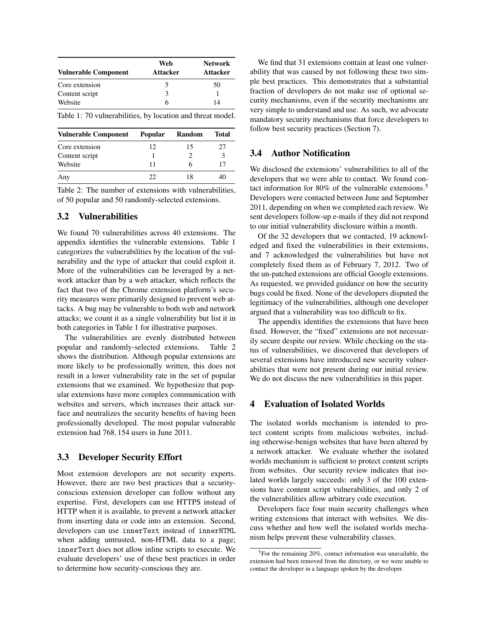| <b>Vulnerable Component</b> | Web<br>Attacker | <b>Network</b><br><b>Attacker</b> |
|-----------------------------|-----------------|-----------------------------------|
| Core extension              |                 | 50                                |
| Content script              | 3               |                                   |
| Website                     | h               | 14                                |

Table 1: 70 vulnerabilities, by location and threat model.

| <b>Vulnerable Component</b> | <b>Popular</b> | Random | Total |
|-----------------------------|----------------|--------|-------|
| Core extension              | 12             | 15     | 27    |
| Content script              |                |        |       |
| Website                     | 11             |        |       |
| Any                         | 22.            | 18     |       |

Table 2: The number of extensions with vulnerabilities, of 50 popular and 50 randomly-selected extensions.

### 3.2 Vulnerabilities

We found 70 vulnerabilities across 40 extensions. The appendix identifies the vulnerable extensions. Table 1 categorizes the vulnerabilities by the location of the vulnerability and the type of attacker that could exploit it. More of the vulnerabilities can be leveraged by a network attacker than by a web attacker, which reflects the fact that two of the Chrome extension platform's security measures were primarily designed to prevent web attacks. A bug may be vulnerable to both web and network attacks; we count it as a single vulnerability but list it in both categories in Table 1 for illustrative purposes.

The vulnerabilities are evenly distributed between popular and randomly-selected extensions. Table 2 shows the distribution. Although popular extensions are more likely to be professionally written, this does not result in a lower vulnerability rate in the set of popular extensions that we examined. We hypothesize that popular extensions have more complex communication with websites and servers, which increases their attack surface and neutralizes the security benefits of having been professionally developed. The most popular vulnerable extension had 768,154 users in June 2011.

## 3.3 Developer Security Effort

Most extension developers are not security experts. However, there are two best practices that a securityconscious extension developer can follow without any expertise. First, developers can use HTTPS instead of HTTP when it is available, to prevent a network attacker from inserting data or code into an extension. Second, developers can use innerText instead of innerHTML when adding untrusted, non-HTML data to a page; innerText does not allow inline scripts to execute. We evaluate developers' use of these best practices in order to determine how security-conscious they are.

We find that 31 extensions contain at least one vulnerability that was caused by not following these two simple best practices. This demonstrates that a substantial fraction of developers do not make use of optional security mechanisms, even if the security mechanisms are very simple to understand and use. As such, we advocate mandatory security mechanisms that force developers to follow best security practices (Section 7).

## 3.4 Author Notification

We disclosed the extensions' vulnerabilities to all of the developers that we were able to contact. We found contact information for 80% of the vulnerable extensions.<sup>5</sup> Developers were contacted between June and September 2011, depending on when we completed each review. We sent developers follow-up e-mails if they did not respond to our initial vulnerability disclosure within a month.

Of the 32 developers that we contacted, 19 acknowledged and fixed the vulnerabilities in their extensions, and 7 acknowledged the vulnerabilities but have not completely fixed them as of February 7, 2012. Two of the un-patched extensions are official Google extensions. As requested, we provided guidance on how the security bugs could be fixed. None of the developers disputed the legitimacy of the vulnerabilities, although one developer argued that a vulnerability was too difficult to fix.

The appendix identifies the extensions that have been fixed. However, the "fixed" extensions are not necessarily secure despite our review. While checking on the status of vulnerabilities, we discovered that developers of several extensions have introduced new security vulnerabilities that were not present during our initial review. We do not discuss the new vulnerabilities in this paper.

#### 4 Evaluation of Isolated Worlds

The isolated worlds mechanism is intended to protect content scripts from malicious websites, including otherwise-benign websites that have been altered by a network attacker. We evaluate whether the isolated worlds mechanism is sufficient to protect content scripts from websites. Our security review indicates that isolated worlds largely succeeds: only 3 of the 100 extensions have content script vulnerabilities, and only 2 of the vulnerabilities allow arbitrary code execution.

Developers face four main security challenges when writing extensions that interact with websites. We discuss whether and how well the isolated worlds mechanism helps prevent these vulnerability classes.

<sup>5</sup>For the remaining 20%, contact information was unavailable, the extension had been removed from the directory, or we were unable to contact the developer in a language spoken by the developer.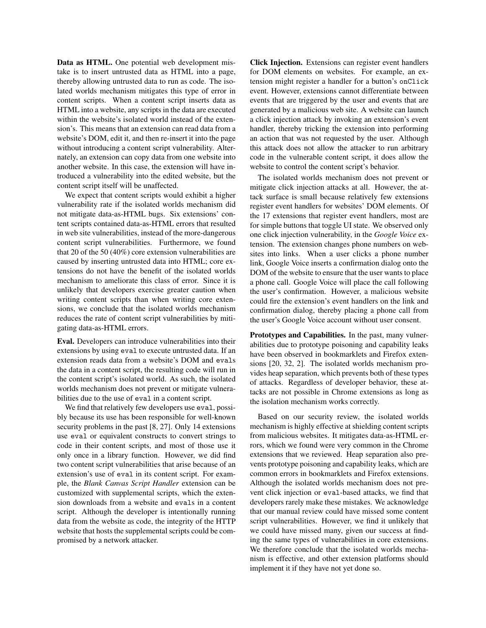Data as HTML. One potential web development mistake is to insert untrusted data as HTML into a page, thereby allowing untrusted data to run as code. The isolated worlds mechanism mitigates this type of error in content scripts. When a content script inserts data as HTML into a website, any scripts in the data are executed within the website's isolated world instead of the extension's. This means that an extension can read data from a website's DOM, edit it, and then re-insert it into the page without introducing a content script vulnerability. Alternately, an extension can copy data from one website into another website. In this case, the extension will have introduced a vulnerability into the edited website, but the content script itself will be unaffected.

We expect that content scripts would exhibit a higher vulnerability rate if the isolated worlds mechanism did not mitigate data-as-HTML bugs. Six extensions' content scripts contained data-as-HTML errors that resulted in web site vulnerabilities, instead of the more-dangerous content script vulnerabilities. Furthermore, we found that 20 of the 50 (40%) core extension vulnerabilities are caused by inserting untrusted data into HTML; core extensions do not have the benefit of the isolated worlds mechanism to ameliorate this class of error. Since it is unlikely that developers exercise greater caution when writing content scripts than when writing core extensions, we conclude that the isolated worlds mechanism reduces the rate of content script vulnerabilities by mitigating data-as-HTML errors.

Eval. Developers can introduce vulnerabilities into their extensions by using eval to execute untrusted data. If an extension reads data from a website's DOM and evals the data in a content script, the resulting code will run in the content script's isolated world. As such, the isolated worlds mechanism does not prevent or mitigate vulnerabilities due to the use of eval in a content script.

We find that relatively few developers use eval, possibly because its use has been responsible for well-known security problems in the past [8, 27]. Only 14 extensions use eval or equivalent constructs to convert strings to code in their content scripts, and most of those use it only once in a library function. However, we did find two content script vulnerabilities that arise because of an extension's use of eval in its content script. For example, the *Blank Canvas Script Handler* extension can be customized with supplemental scripts, which the extension downloads from a website and evals in a content script. Although the developer is intentionally running data from the website as code, the integrity of the HTTP website that hosts the supplemental scripts could be compromised by a network attacker.

Click Injection. Extensions can register event handlers for DOM elements on websites. For example, an extension might register a handler for a button's onClick event. However, extensions cannot differentiate between events that are triggered by the user and events that are generated by a malicious web site. A website can launch a click injection attack by invoking an extension's event handler, thereby tricking the extension into performing an action that was not requested by the user. Although this attack does not allow the attacker to run arbitrary code in the vulnerable content script, it does allow the website to control the content script's behavior.

The isolated worlds mechanism does not prevent or mitigate click injection attacks at all. However, the attack surface is small because relatively few extensions register event handlers for websites' DOM elements. Of the 17 extensions that register event handlers, most are for simple buttons that toggle UI state. We observed only one click injection vulnerability, in the *Google Voice* extension. The extension changes phone numbers on websites into links. When a user clicks a phone number link, Google Voice inserts a confirmation dialog onto the DOM of the website to ensure that the user wants to place a phone call. Google Voice will place the call following the user's confirmation. However, a malicious website could fire the extension's event handlers on the link and confirmation dialog, thereby placing a phone call from the user's Google Voice account without user consent.

Prototypes and Capabilities. In the past, many vulnerabilities due to prototype poisoning and capability leaks have been observed in bookmarklets and Firefox extensions [20, 32, 2]. The isolated worlds mechanism provides heap separation, which prevents both of these types of attacks. Regardless of developer behavior, these attacks are not possible in Chrome extensions as long as the isolation mechanism works correctly.

Based on our security review, the isolated worlds mechanism is highly effective at shielding content scripts from malicious websites. It mitigates data-as-HTML errors, which we found were very common in the Chrome extensions that we reviewed. Heap separation also prevents prototype poisoning and capability leaks, which are common errors in bookmarklets and Firefox extensions. Although the isolated worlds mechanism does not prevent click injection or eval-based attacks, we find that developers rarely make these mistakes. We acknowledge that our manual review could have missed some content script vulnerabilities. However, we find it unlikely that we could have missed many, given our success at finding the same types of vulnerabilities in core extensions. We therefore conclude that the isolated worlds mechanism is effective, and other extension platforms should implement it if they have not yet done so.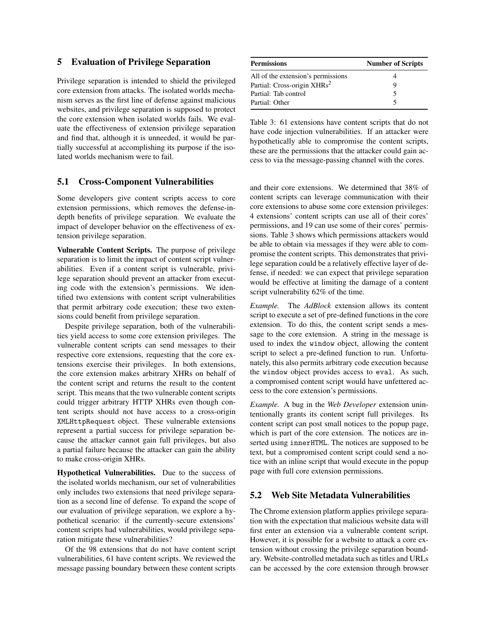### 5 Evaluation of Privilege Separation

Privilege separation is intended to shield the privileged core extension from attacks. The isolated worlds mechanism serves as the first line of defense against malicious websites, and privilege separation is supposed to protect the core extension when isolated worlds fails. We evaluate the effectiveness of extension privilege separation and find that, although it is unneeded, it would be partially successful at accomplishing its purpose if the isolated worlds mechanism were to fail.

## 5.1 Cross-Component Vulnerabilities

Some developers give content scripts access to core extension permissions, which removes the defense-indepth benefits of privilege separation. We evaluate the impact of developer behavior on the effectiveness of extension privilege separation.

Vulnerable Content Scripts. The purpose of privilege separation is to limit the impact of content script vulnerabilities. Even if a content script is vulnerable, privilege separation should prevent an attacker from executing code with the extension's permissions. We identified two extensions with content script vulnerabilities that permit arbitrary code execution; these two extensions could benefit from privilege separation.

Despite privilege separation, both of the vulnerabilities yield access to some core extension privileges. The vulnerable content scripts can send messages to their respective core extensions, requesting that the core extensions exercise their privileges. In both extensions, the core extension makes arbitrary XHRs on behalf of the content script and returns the result to the content script. This means that the two vulnerable content scripts could trigger arbitrary HTTP XHRs even though content scripts should not have access to a cross-origin XMLHttpRequest object. These vulnerable extensions represent a partial success for privilege separation because the attacker cannot gain full privileges, but also a partial failure because the attacker can gain the ability to make cross-origin XHRs.

Hypothetical Vulnerabilities. Due to the success of the isolated worlds mechanism, our set of vulnerabilities only includes two extensions that need privilege separation as a second line of defense. To expand the scope of our evaluation of privilege separation, we explore a hypothetical scenario: if the currently-secure extensions' content scripts had vulnerabilities, would privilege separation mitigate these vulnerabilities?

Of the 98 extensions that do not have content script vulnerabilities, 61 have content scripts. We reviewed the message passing boundary between these content scripts

| <b>Permissions</b>                      | <b>Number of Scripts</b> |
|-----------------------------------------|--------------------------|
| All of the extension's permissions      |                          |
| Partial: Cross-origin XHRs <sup>2</sup> | Q                        |
| Partial: Tab control                    |                          |
| Partial: Other                          |                          |

Table 3: 61 extensions have content scripts that do not have code injection vulnerabilities. If an attacker were hypothetically able to compromise the content scripts, these are the permissions that the attacker could gain access to via the message-passing channel with the cores.

and their core extensions. We determined that 38% of content scripts can leverage communication with their core extensions to abuse some core extension privileges: 4 extensions' content scripts can use all of their cores' permissions, and 19 can use some of their cores' permissions. Table 3 shows which permissions attackers would be able to obtain via messages if they were able to compromise the content scripts. This demonstrates that privilege separation could be a relatively effective layer of defense, if needed: we can expect that privilege separation would be effective at limiting the damage of a content script vulnerability 62% of the time.

*Example.* The *AdBlock* extension allows its content script to execute a set of pre-defined functions in the core extension. To do this, the content script sends a message to the core extension. A string in the message is used to index the window object, allowing the content script to select a pre-defined function to run. Unfortunately, this also permits arbitrary code execution because the window object provides access to eval. As such, a compromised content script would have unfettered access to the core extension's permissions.

*Example.* A bug in the *Web Developer* extension unintentionally grants its content script full privileges. Its content script can post small notices to the popup page, which is part of the core extension. The notices are inserted using innerHTML. The notices are supposed to be text, but a compromised content script could send a notice with an inline script that would execute in the popup page with full core extension permissions.

## 5.2 Web Site Metadata Vulnerabilities

The Chrome extension platform applies privilege separation with the expectation that malicious website data will first enter an extension via a vulnerable content script. However, it is possible for a website to attack a core extension without crossing the privilege separation boundary. Website-controlled metadata such as titles and URLs can be accessed by the core extension through browser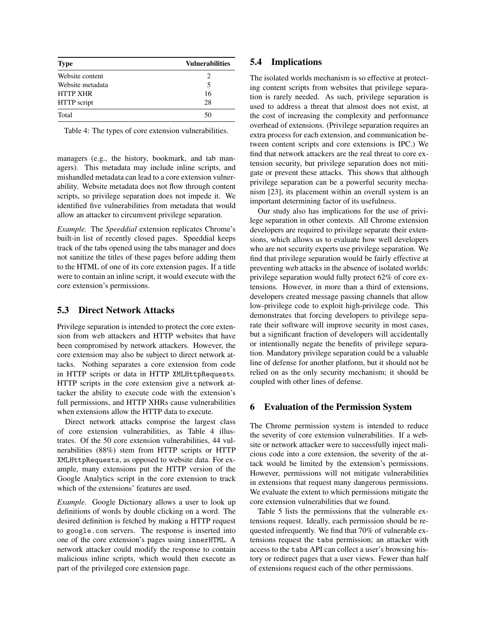| <b>Type</b>      | <b>Vulnerabilities</b> |
|------------------|------------------------|
| Website content  | 2                      |
| Website metadata | 5                      |
| <b>HTTP XHR</b>  | 16                     |
| HTTP script      | 28                     |
| Total            | 50                     |

Table 4: The types of core extension vulnerabilities.

managers (e.g., the history, bookmark, and tab managers). This metadata may include inline scripts, and mishandled metadata can lead to a core extension vulnerability. Website metadata does not flow through content scripts, so privilege separation does not impede it. We identified five vulnerabilities from metadata that would allow an attacker to circumvent privilege separation.

*Example.* The *Speeddial* extension replicates Chrome's built-in list of recently closed pages. Speeddial keeps track of the tabs opened using the tabs manager and does not sanitize the titles of these pages before adding them to the HTML of one of its core extension pages. If a title were to contain an inline script, it would execute with the core extension's permissions.

#### 5.3 Direct Network Attacks

Privilege separation is intended to protect the core extension from web attackers and HTTP websites that have been compromised by network attackers. However, the core extension may also be subject to direct network attacks. Nothing separates a core extension from code in HTTP scripts or data in HTTP XMLHttpRequests. HTTP scripts in the core extension give a network attacker the ability to execute code with the extension's full permissions, and HTTP XHRs cause vulnerabilities when extensions allow the HTTP data to execute.

Direct network attacks comprise the largest class of core extension vulnerabilities, as Table 4 illustrates. Of the 50 core extension vulnerabilities, 44 vulnerabilities (88%) stem from HTTP scripts or HTTP XMLHttpRequests, as opposed to website data. For example, many extensions put the HTTP version of the Google Analytics script in the core extension to track which of the extensions' features are used.

*Example.* Google Dictionary allows a user to look up definitions of words by double clicking on a word. The desired definition is fetched by making a HTTP request to google.com servers. The response is inserted into one of the core extension's pages using innerHTML. A network attacker could modify the response to contain malicious inline scripts, which would then execute as part of the privileged core extension page.

### 5.4 Implications

The isolated worlds mechanism is so effective at protecting content scripts from websites that privilege separation is rarely needed. As such, privilege separation is used to address a threat that almost does not exist, at the cost of increasing the complexity and performance overhead of extensions. (Privilege separation requires an extra process for each extension, and communication between content scripts and core extensions is IPC.) We find that network attackers are the real threat to core extension security, but privilege separation does not mitigate or prevent these attacks. This shows that although privilege separation can be a powerful security mechanism [23], its placement within an overall system is an important determining factor of its usefulness.

Our study also has implications for the use of privilege separation in other contexts. All Chrome extension developers are required to privilege separate their extensions, which allows us to evaluate how well developers who are not security experts use privilege separation. We find that privilege separation would be fairly effective at preventing web attacks in the absence of isolated worlds: privilege separation would fully protect 62% of core extensions. However, in more than a third of extensions, developers created message passing channels that allow low-privilege code to exploit high-privilege code. This demonstrates that forcing developers to privilege separate their software will improve security in most cases, but a significant fraction of developers will accidentally or intentionally negate the benefits of privilege separation. Mandatory privilege separation could be a valuable line of defense for another platform, but it should not be relied on as the only security mechanism; it should be coupled with other lines of defense.

#### 6 Evaluation of the Permission System

The Chrome permission system is intended to reduce the severity of core extension vulnerabilities. If a website or network attacker were to successfully inject malicious code into a core extension, the severity of the attack would be limited by the extension's permissions. However, permissions will not mitigate vulnerabilities in extensions that request many dangerous permissions. We evaluate the extent to which permissions mitigate the core extension vulnerabilities that we found.

Table 5 lists the permissions that the vulnerable extensions request. Ideally, each permission should be requested infrequently. We find that 70% of vulnerable extensions request the tabs permission; an attacker with access to the tabs API can collect a user's browsing history or redirect pages that a user views. Fewer than half of extensions request each of the other permissions.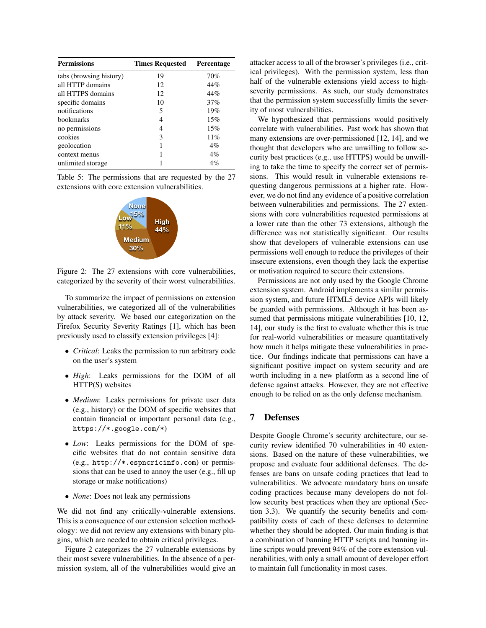| <b>Permissions</b>      | <b>Times Requested</b> | <b>Percentage</b> |  |
|-------------------------|------------------------|-------------------|--|
| tabs (browsing history) | 19                     | 70%               |  |
| all HTTP domains        | 12                     | 44%               |  |
| all HTTPS domains       | 12                     | 44%               |  |
| specific domains        | 10                     | 37%               |  |
| notifications           | 5                      | 19%               |  |
| <b>bookmarks</b>        | 4                      | 15%               |  |
| no permissions          | 4                      | 15%               |  |
| cookies                 | 3                      | 11%               |  |
| geolocation             |                        | $4\%$             |  |
| context menus           |                        | $4\%$             |  |
| unlimited storage       |                        | 4%                |  |

Table 5: The permissions that are requested by the 27 extensions with core extension vulnerabilities.



Figure 2: The 27 extensions with core vulnerabilities, categorized by the severity of their worst vulnerabilities.

To summarize the impact of permissions on extension vulnerabilities, we categorized all of the vulnerabilities by attack severity. We based our categorization on the Firefox Security Severity Ratings [1], which has been previously used to classify extension privileges [4]:

- *Critical*: Leaks the permission to run arbitrary code on the user's system
- *High*: Leaks permissions for the DOM of all HTTP(S) websites
- *Medium*: Leaks permissions for private user data (e.g., history) or the DOM of specific websites that contain financial or important personal data (e.g., https://\*.google.com/\*)
- *Low*: Leaks permissions for the DOM of specific websites that do not contain sensitive data (e.g., http://\*.espncricinfo.com) or permissions that can be used to annoy the user (e.g., fill up storage or make notifications)
- *None*: Does not leak any permissions

We did not find any critically-vulnerable extensions. This is a consequence of our extension selection methodology: we did not review any extensions with binary plugins, which are needed to obtain critical privileges.

Figure 2 categorizes the 27 vulnerable extensions by their most severe vulnerabilities. In the absence of a permission system, all of the vulnerabilities would give an attacker access to all of the browser's privileges (i.e., critical privileges). With the permission system, less than half of the vulnerable extensions yield access to highseverity permissions. As such, our study demonstrates that the permission system successfully limits the severity of most vulnerabilities.

We hypothesized that permissions would positively correlate with vulnerabilities. Past work has shown that many extensions are over-permissioned [12, 14], and we thought that developers who are unwilling to follow security best practices (e.g., use HTTPS) would be unwilling to take the time to specify the correct set of permissions. This would result in vulnerable extensions requesting dangerous permissions at a higher rate. However, we do not find any evidence of a positive correlation between vulnerabilities and permissions. The 27 extensions with core vulnerabilities requested permissions at a lower rate than the other 73 extensions, although the difference was not statistically significant. Our results show that developers of vulnerable extensions can use permissions well enough to reduce the privileges of their insecure extensions, even though they lack the expertise or motivation required to secure their extensions.

Permissions are not only used by the Google Chrome extension system. Android implements a similar permission system, and future HTML5 device APIs will likely be guarded with permissions. Although it has been assumed that permissions mitigate vulnerabilities [10, 12, 14], our study is the first to evaluate whether this is true for real-world vulnerabilities or measure quantitatively how much it helps mitigate these vulnerabilities in practice. Our findings indicate that permissions can have a significant positive impact on system security and are worth including in a new platform as a second line of defense against attacks. However, they are not effective enough to be relied on as the only defense mechanism.

## 7 Defenses

Despite Google Chrome's security architecture, our security review identified 70 vulnerabilities in 40 extensions. Based on the nature of these vulnerabilities, we propose and evaluate four additional defenses. The defenses are bans on unsafe coding practices that lead to vulnerabilities. We advocate mandatory bans on unsafe coding practices because many developers do not follow security best practices when they are optional (Section 3.3). We quantify the security benefits and compatibility costs of each of these defenses to determine whether they should be adopted. Our main finding is that a combination of banning HTTP scripts and banning inline scripts would prevent 94% of the core extension vulnerabilities, with only a small amount of developer effort to maintain full functionality in most cases.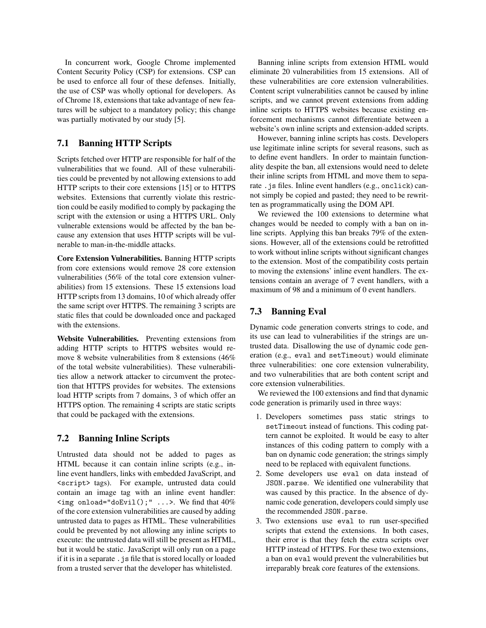In concurrent work, Google Chrome implemented Content Security Policy (CSP) for extensions. CSP can be used to enforce all four of these defenses. Initially, the use of CSP was wholly optional for developers. As of Chrome 18, extensions that take advantage of new features will be subject to a mandatory policy; this change was partially motivated by our study [5].

## 7.1 Banning HTTP Scripts

Scripts fetched over HTTP are responsible for half of the vulnerabilities that we found. All of these vulnerabilities could be prevented by not allowing extensions to add HTTP scripts to their core extensions [15] or to HTTPS websites. Extensions that currently violate this restriction could be easily modified to comply by packaging the script with the extension or using a HTTPS URL. Only vulnerable extensions would be affected by the ban because any extension that uses HTTP scripts will be vulnerable to man-in-the-middle attacks.

Core Extension Vulnerabilities. Banning HTTP scripts from core extensions would remove 28 core extension vulnerabilities (56% of the total core extension vulnerabilities) from 15 extensions. These 15 extensions load HTTP scripts from 13 domains, 10 of which already offer the same script over HTTPS. The remaining 3 scripts are static files that could be downloaded once and packaged with the extensions.

Website Vulnerabilities. Preventing extensions from adding HTTP scripts to HTTPS websites would remove 8 website vulnerabilities from 8 extensions (46% of the total website vulnerabilities). These vulnerabilities allow a network attacker to circumvent the protection that HTTPS provides for websites. The extensions load HTTP scripts from 7 domains, 3 of which offer an HTTPS option. The remaining 4 scripts are static scripts that could be packaged with the extensions.

## 7.2 Banning Inline Scripts

Untrusted data should not be added to pages as HTML because it can contain inline scripts (e.g., inline event handlers, links with embedded JavaScript, and <script> tags). For example, untrusted data could contain an image tag with an inline event handler: <img onload="doEvil();" ...>. We find that 40% of the core extension vulnerabilities are caused by adding untrusted data to pages as HTML. These vulnerabilities could be prevented by not allowing any inline scripts to execute: the untrusted data will still be present as HTML, but it would be static. JavaScript will only run on a page if it is in a separate .js file that is stored locally or loaded from a trusted server that the developer has whitelisted.

Banning inline scripts from extension HTML would eliminate 20 vulnerabilities from 15 extensions. All of these vulnerabilities are core extension vulnerabilities. Content script vulnerabilities cannot be caused by inline scripts, and we cannot prevent extensions from adding inline scripts to HTTPS websites because existing enforcement mechanisms cannot differentiate between a website's own inline scripts and extension-added scripts.

However, banning inline scripts has costs. Developers use legitimate inline scripts for several reasons, such as to define event handlers. In order to maintain functionality despite the ban, all extensions would need to delete their inline scripts from HTML and move them to separate .js files. Inline event handlers (e.g., onclick) cannot simply be copied and pasted; they need to be rewritten as programmatically using the DOM API.

We reviewed the 100 extensions to determine what changes would be needed to comply with a ban on inline scripts. Applying this ban breaks 79% of the extensions. However, all of the extensions could be retrofitted to work without inline scripts without significant changes to the extension. Most of the compatibility costs pertain to moving the extensions' inline event handlers. The extensions contain an average of 7 event handlers, with a maximum of 98 and a minimum of 0 event handlers.

### 7.3 Banning Eval

Dynamic code generation converts strings to code, and its use can lead to vulnerabilities if the strings are untrusted data. Disallowing the use of dynamic code generation (e.g., eval and setTimeout) would eliminate three vulnerabilities: one core extension vulnerability, and two vulnerabilities that are both content script and core extension vulnerabilities.

We reviewed the 100 extensions and find that dynamic code generation is primarily used in three ways:

- 1. Developers sometimes pass static strings to setTimeout instead of functions. This coding pattern cannot be exploited. It would be easy to alter instances of this coding pattern to comply with a ban on dynamic code generation; the strings simply need to be replaced with equivalent functions.
- 2. Some developers use eval on data instead of JSON.parse. We identified one vulnerability that was caused by this practice. In the absence of dynamic code generation, developers could simply use the recommended JSON.parse.
- 3. Two extensions use eval to run user-specified scripts that extend the extensions. In both cases, their error is that they fetch the extra scripts over HTTP instead of HTTPS. For these two extensions, a ban on eval would prevent the vulnerabilities but irreparably break core features of the extensions.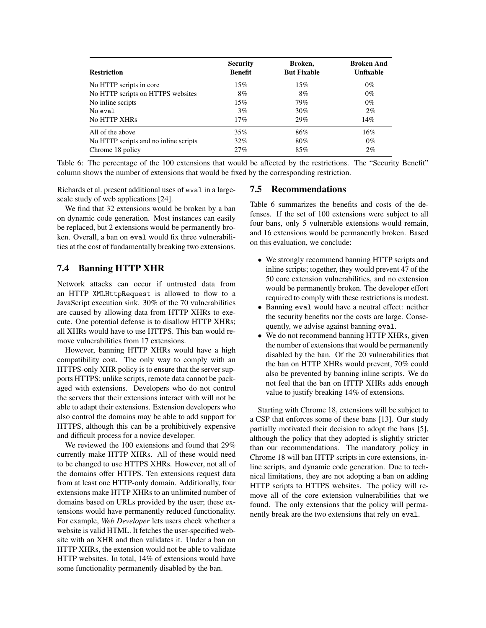| <b>Restriction</b>                    | <b>Security</b><br><b>Benefit</b> | Broken.<br><b>But Fixable</b> | <b>Broken And</b><br><b>Unfixable</b> |
|---------------------------------------|-----------------------------------|-------------------------------|---------------------------------------|
| No HTTP scripts in core               | 15%                               | 15%                           | $0\%$                                 |
| No HTTP scripts on HTTPS websites     | 8%                                | 8%                            | $0\%$                                 |
| No inline scripts                     | 15%                               | 79%                           | $0\%$                                 |
| No eval                               | 3%                                | 30%                           | $2\%$                                 |
| <b>No HTTP XHRs</b>                   | 17%                               | 29%                           | 14%                                   |
| All of the above                      | 35%                               | 86%                           | $16\%$                                |
| No HTTP scripts and no inline scripts | $32\%$                            | 80%                           | $0\%$                                 |
| Chrome 18 policy                      | 27%                               | 85%                           | $2\%$                                 |

Table 6: The percentage of the 100 extensions that would be affected by the restrictions. The "Security Benefit" column shows the number of extensions that would be fixed by the corresponding restriction.

Richards et al. present additional uses of eval in a largescale study of web applications [24].

We find that 32 extensions would be broken by a ban on dynamic code generation. Most instances can easily be replaced, but 2 extensions would be permanently broken. Overall, a ban on eval would fix three vulnerabilities at the cost of fundamentally breaking two extensions.

## 7.4 Banning HTTP XHR

Network attacks can occur if untrusted data from an HTTP XMLHttpRequest is allowed to flow to a JavaScript execution sink. 30% of the 70 vulnerabilities are caused by allowing data from HTTP XHRs to execute. One potential defense is to disallow HTTP XHRs; all XHRs would have to use HTTPS. This ban would remove vulnerabilities from 17 extensions.

However, banning HTTP XHRs would have a high compatibility cost. The only way to comply with an HTTPS-only XHR policy is to ensure that the server supports HTTPS; unlike scripts, remote data cannot be packaged with extensions. Developers who do not control the servers that their extensions interact with will not be able to adapt their extensions. Extension developers who also control the domains may be able to add support for HTTPS, although this can be a prohibitively expensive and difficult process for a novice developer.

We reviewed the 100 extensions and found that 29% currently make HTTP XHRs. All of these would need to be changed to use HTTPS XHRs. However, not all of the domains offer HTTPS. Ten extensions request data from at least one HTTP-only domain. Additionally, four extensions make HTTP XHRs to an unlimited number of domains based on URLs provided by the user; these extensions would have permanently reduced functionality. For example, *Web Developer* lets users check whether a website is valid HTML. It fetches the user-specified website with an XHR and then validates it. Under a ban on HTTP XHRs, the extension would not be able to validate HTTP websites. In total, 14% of extensions would have some functionality permanently disabled by the ban.

### 7.5 Recommendations

Table 6 summarizes the benefits and costs of the defenses. If the set of 100 extensions were subject to all four bans, only 5 vulnerable extensions would remain, and 16 extensions would be permanently broken. Based on this evaluation, we conclude:

- We strongly recommend banning HTTP scripts and inline scripts; together, they would prevent 47 of the 50 core extension vulnerabilities, and no extension would be permanently broken. The developer effort required to comply with these restrictions is modest.
- Banning eval would have a neutral effect: neither the security benefits nor the costs are large. Consequently, we advise against banning eval.
- We do not recommend banning HTTP XHRs, given the number of extensions that would be permanently disabled by the ban. Of the 20 vulnerabilities that the ban on HTTP XHRs would prevent, 70% could also be prevented by banning inline scripts. We do not feel that the ban on HTTP XHRs adds enough value to justify breaking 14% of extensions.

Starting with Chrome 18, extensions will be subject to a CSP that enforces some of these bans [13]. Our study partially motivated their decision to adopt the bans [5], although the policy that they adopted is slightly stricter than our recommendations. The mandatory policy in Chrome 18 will ban HTTP scripts in core extensions, inline scripts, and dynamic code generation. Due to technical limitations, they are not adopting a ban on adding HTTP scripts to HTTPS websites. The policy will remove all of the core extension vulnerabilities that we found. The only extensions that the policy will permanently break are the two extensions that rely on eval.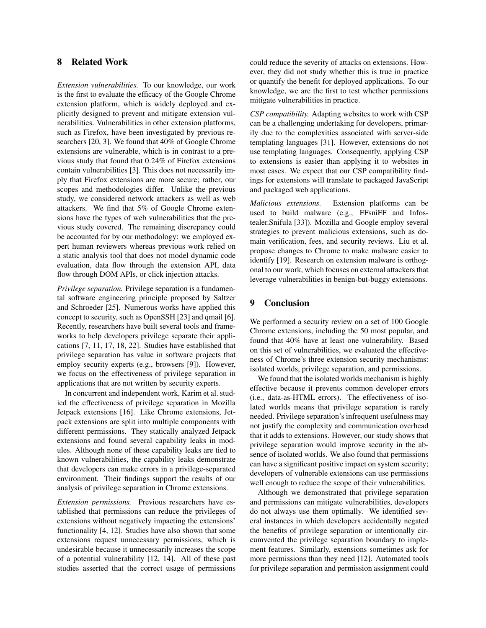## 8 Related Work

*Extension vulnerabilities.* To our knowledge, our work is the first to evaluate the efficacy of the Google Chrome extension platform, which is widely deployed and explicitly designed to prevent and mitigate extension vulnerabilities. Vulnerabilities in other extension platforms, such as Firefox, have been investigated by previous researchers [20, 3]. We found that 40% of Google Chrome extensions are vulnerable, which is in contrast to a previous study that found that 0.24% of Firefox extensions contain vulnerabilities [3]. This does not necessarily imply that Firefox extensions are more secure; rather, our scopes and methodologies differ. Unlike the previous study, we considered network attackers as well as web attackers. We find that 5% of Google Chrome extensions have the types of web vulnerabilities that the previous study covered. The remaining discrepancy could be accounted for by our methodology: we employed expert human reviewers whereas previous work relied on a static analysis tool that does not model dynamic code evaluation, data flow through the extension API, data flow through DOM APIs, or click injection attacks.

*Privilege separation.* Privilege separation is a fundamental software engineering principle proposed by Saltzer and Schroeder [25]. Numerous works have applied this concept to security, such as OpenSSH [23] and qmail [6]. Recently, researchers have built several tools and frameworks to help developers privilege separate their applications [7, 11, 17, 18, 22]. Studies have established that privilege separation has value in software projects that employ security experts (e.g., browsers [9]). However, we focus on the effectiveness of privilege separation in applications that are not written by security experts.

In concurrent and independent work, Karim et al. studied the effectiveness of privilege separation in Mozilla Jetpack extensions [16]. Like Chrome extensions, Jetpack extensions are split into multiple components with different permissions. They statically analyzed Jetpack extensions and found several capability leaks in modules. Although none of these capability leaks are tied to known vulnerabilities, the capability leaks demonstrate that developers can make errors in a privilege-separated environment. Their findings support the results of our analysis of privilege separation in Chrome extensions.

*Extension permissions.* Previous researchers have established that permissions can reduce the privileges of extensions without negatively impacting the extensions' functionality [4, 12]. Studies have also shown that some extensions request unnecessary permissions, which is undesirable because it unnecessarily increases the scope of a potential vulnerability [12, 14]. All of these past studies asserted that the correct usage of permissions could reduce the severity of attacks on extensions. However, they did not study whether this is true in practice or quantify the benefit for deployed applications. To our knowledge, we are the first to test whether permissions mitigate vulnerabilities in practice.

*CSP compatibility.* Adapting websites to work with CSP can be a challenging undertaking for developers, primarily due to the complexities associated with server-side templating languages [31]. However, extensions do not use templating languages. Consequently, applying CSP to extensions is easier than applying it to websites in most cases. We expect that our CSP compatibility findings for extensions will translate to packaged JavaScript and packaged web applications.

*Malicious extensions.* Extension platforms can be used to build malware (e.g., FFsniFF and Infostealer.Snifula [33]). Mozilla and Google employ several strategies to prevent malicious extensions, such as domain verification, fees, and security reviews. Liu et al. propose changes to Chrome to make malware easier to identify [19]. Research on extension malware is orthogonal to our work, which focuses on external attackers that leverage vulnerabilities in benign-but-buggy extensions.

## 9 Conclusion

We performed a security review on a set of 100 Google Chrome extensions, including the 50 most popular, and found that 40% have at least one vulnerability. Based on this set of vulnerabilities, we evaluated the effectiveness of Chrome's three extension security mechanisms: isolated worlds, privilege separation, and permissions.

We found that the isolated worlds mechanism is highly effective because it prevents common developer errors (i.e., data-as-HTML errors). The effectiveness of isolated worlds means that privilege separation is rarely needed. Privilege separation's infrequent usefulness may not justify the complexity and communication overhead that it adds to extensions. However, our study shows that privilege separation would improve security in the absence of isolated worlds. We also found that permissions can have a significant positive impact on system security; developers of vulnerable extensions can use permissions well enough to reduce the scope of their vulnerabilities.

Although we demonstrated that privilege separation and permissions can mitigate vulnerabilities, developers do not always use them optimally. We identified several instances in which developers accidentally negated the benefits of privilege separation or intentionally circumvented the privilege separation boundary to implement features. Similarly, extensions sometimes ask for more permissions than they need [12]. Automated tools for privilege separation and permission assignment could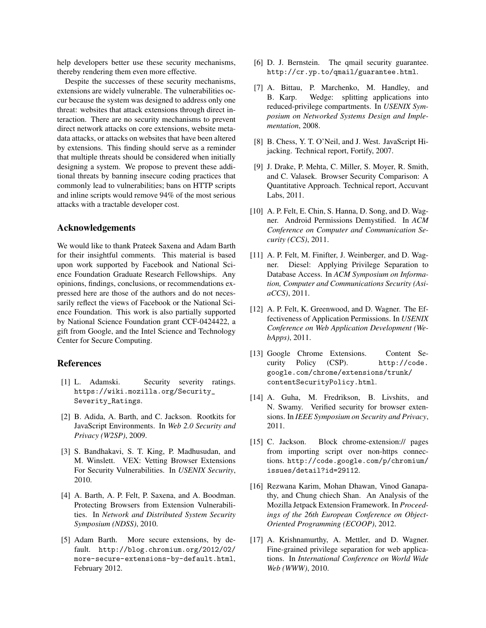help developers better use these security mechanisms, thereby rendering them even more effective.

Despite the successes of these security mechanisms, extensions are widely vulnerable. The vulnerabilities occur because the system was designed to address only one threat: websites that attack extensions through direct interaction. There are no security mechanisms to prevent direct network attacks on core extensions, website metadata attacks, or attacks on websites that have been altered by extensions. This finding should serve as a reminder that multiple threats should be considered when initially designing a system. We propose to prevent these additional threats by banning insecure coding practices that commonly lead to vulnerabilities; bans on HTTP scripts and inline scripts would remove 94% of the most serious attacks with a tractable developer cost.

#### Acknowledgements

We would like to thank Prateek Saxena and Adam Barth for their insightful comments. This material is based upon work supported by Facebook and National Science Foundation Graduate Research Fellowships. Any opinions, findings, conclusions, or recommendations expressed here are those of the authors and do not necessarily reflect the views of Facebook or the National Science Foundation. This work is also partially supported by National Science Foundation grant CCF-0424422, a gift from Google, and the Intel Science and Technology Center for Secure Computing.

## References

- [1] L. Adamski. Security severity ratings. https://wiki.mozilla.org/Security\_ Severity\_Ratings.
- [2] B. Adida, A. Barth, and C. Jackson. Rootkits for JavaScript Environments. In *Web 2.0 Security and Privacy (W2SP)*, 2009.
- [3] S. Bandhakavi, S. T. King, P. Madhusudan, and M. Winslett. VEX: Vetting Browser Extensions For Security Vulnerabilities. In *USENIX Security*, 2010.
- [4] A. Barth, A. P. Felt, P. Saxena, and A. Boodman. Protecting Browsers from Extension Vulnerabilities. In *Network and Distributed System Security Symposium (NDSS)*, 2010.
- [5] Adam Barth. More secure extensions, by default. http://blog.chromium.org/2012/02/ more-secure-extensions-by-default.html, February 2012.
- [6] D. J. Bernstein. The qmail security guarantee. http://cr.yp.to/qmail/guarantee.html.
- [7] A. Bittau, P. Marchenko, M. Handley, and B. Karp. Wedge: splitting applications into reduced-privilege compartments. In *USENIX Symposium on Networked Systems Design and Implementation*, 2008.
- [8] B. Chess, Y. T. O'Neil, and J. West. JavaScript Hijacking. Technical report, Fortify, 2007.
- [9] J. Drake, P. Mehta, C. Miller, S. Moyer, R. Smith, and C. Valasek. Browser Security Comparison: A Quantitative Approach. Technical report, Accuvant Labs, 2011.
- [10] A. P. Felt, E. Chin, S. Hanna, D. Song, and D. Wagner. Android Permissions Demystified. In *ACM Conference on Computer and Communication Security (CCS)*, 2011.
- [11] A. P. Felt, M. Finifter, J. Weinberger, and D. Wagner. Diesel: Applying Privilege Separation to Database Access. In *ACM Symposium on Information, Computer and Communications Security (AsiaCCS)*, 2011.
- [12] A. P. Felt, K. Greenwood, and D. Wagner. The Effectiveness of Application Permissions. In *USENIX Conference on Web Application Development (WebApps)*, 2011.
- [13] Google Chrome Extensions. Content Security Policy (CSP). http://code. google.com/chrome/extensions/trunk/ contentSecurityPolicy.html.
- [14] A. Guha, M. Fredrikson, B. Livshits, and N. Swamy. Verified security for browser extensions. In *IEEE Symposium on Security and Privacy*, 2011.
- [15] C. Jackson. Block chrome-extension:// pages from importing script over non-https connections. http://code.google.com/p/chromium/ issues/detail?id=29112.
- [16] Rezwana Karim, Mohan Dhawan, Vinod Ganapathy, and Chung chiech Shan. An Analysis of the Mozilla Jetpack Extension Framework. In *Proceedings of the 26th European Conference on Object-Oriented Programming (ECOOP)*, 2012.
- [17] A. Krishnamurthy, A. Mettler, and D. Wagner. Fine-grained privilege separation for web applications. In *International Conference on World Wide Web (WWW)*, 2010.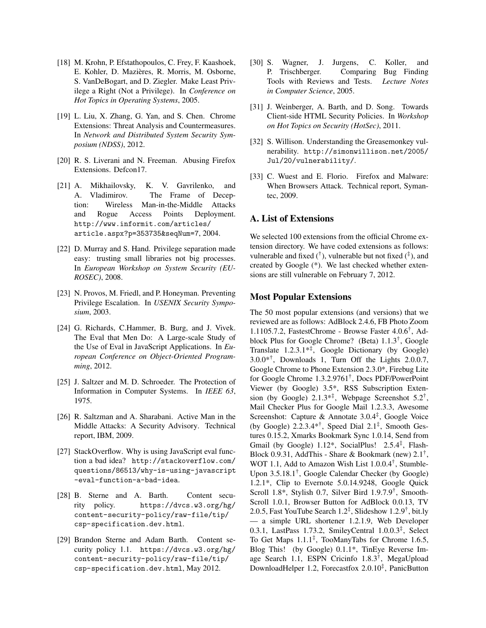- [18] M. Krohn, P. Efstathopoulos, C. Frey, F. Kaashoek, E. Kohler, D. Mazieres, R. Morris, M. Osborne, ` S. VanDeBogart, and D. Ziegler. Make Least Privilege a Right (Not a Privilege). In *Conference on Hot Topics in Operating Systems*, 2005.
- [19] L. Liu, X. Zhang, G. Yan, and S. Chen. Chrome Extensions: Threat Analysis and Countermeasures. In *Network and Distributed System Security Symposium (NDSS)*, 2012.
- [20] R. S. Liverani and N. Freeman. Abusing Firefox Extensions. Defcon17.
- [21] A. Mikhailovsky, K. V. Gavrilenko, and A. Vladimirov. The Frame of Deception: Wireless Man-in-the-Middle Attacks and Rogue Access Points Deployment. http://www.informit.com/articles/ article.aspx?p=353735&seqNum=7, 2004.
- [22] D. Murray and S. Hand. Privilege separation made easy: trusting small libraries not big processes. In *European Workshop on System Security (EU-ROSEC)*, 2008.
- [23] N. Provos, M. Friedl, and P. Honeyman. Preventing Privilege Escalation. In *USENIX Security Symposium*, 2003.
- [24] G. Richards, C.Hammer, B. Burg, and J. Vivek. The Eval that Men Do: A Large-scale Study of the Use of Eval in JavaScript Applications. In *European Conference on Object-Oriented Programming*, 2012.
- [25] J. Saltzer and M. D. Schroeder. The Protection of Information in Computer Systems. In *IEEE 63*, 1975.
- [26] R. Saltzman and A. Sharabani. Active Man in the Middle Attacks: A Security Advisory. Technical report, IBM, 2009.
- [27] StackOverflow. Why is using JavaScript eval function a bad idea? http://stackoverflow.com/ questions/86513/why-is-using-javascript -eval-function-a-bad-idea.
- [28] B. Sterne and A. Barth. Content security policy. https://dvcs.w3.org/hg/ content-security-policy/raw-file/tip/ csp-specification.dev.html.
- [29] Brandon Sterne and Adam Barth. Content security policy 1.1. https://dvcs.w3.org/hg/ content-security-policy/raw-file/tip/ csp-specification.dev.html, May 2012.
- [30] S. Wagner, J. Jurgens, C. Koller, and P. Trischberger. Comparing Bug Finding Tools with Reviews and Tests. *Lecture Notes in Computer Science*, 2005.
- [31] J. Weinberger, A. Barth, and D. Song. Towards Client-side HTML Security Policies. In *Workshop on Hot Topics on Security (HotSec)*, 2011.
- [32] S. Willison. Understanding the Greasemonkey vulnerability. http://simonwillison.net/2005/ Jul/20/vulnerability/.
- [33] C. Wuest and E. Florio. Firefox and Malware: When Browsers Attack. Technical report, Symantec, 2009.

## A. List of Extensions

We selected 100 extensions from the official Chrome extension directory. We have coded extensions as follows: vulnerable and fixed  $({}^{\dagger})$ , vulnerable but not fixed  $({}^{\ddagger})$ , and created by Google (\*). We last checked whether extensions are still vulnerable on February 7, 2012.

#### Most Popular Extensions

The 50 most popular extensions (and versions) that we reviewed are as follows: AdBlock 2.4.6, FB Photo Zoom 1.1105.7.2, FastestChrome - Browse Faster 4.0.6† , Adblock Plus for Google Chrome? (Beta) 1.1.3† , Google Translate 1.2.3.1\*‡ , Google Dictionary (by Google) 3.0.0\*† , Downloads 1, Turn Off the Lights 2.0.0.7, Google Chrome to Phone Extension 2.3.0\*, Firebug Lite for Google Chrome 1.3.2.9761† , Docs PDF/PowerPoint Viewer (by Google) 3.5\*, RSS Subscription Extension (by Google)  $2.1.3**$ ; Webpage Screenshot  $5.2^{\dagger}$ , Mail Checker Plus for Google Mail 1.2.3.3, Awesome Screenshot: Capture & Annotate 3.0.4‡ , Google Voice (by Google)  $2.2.3.4**^{\dagger}$ , Speed Dial  $2.1*^{\dagger}$ , Smooth Gestures 0.15.2, Xmarks Bookmark Sync 1.0.14, Send from Gmail (by Google) 1.12\*, SocialPlus! 2.5.4<sup>‡</sup>, Flash-Block 0.9.31, AddThis - Share & Bookmark (new) 2.1† , WOT 1.1, Add to Amazon Wish List 1.0.0.4† , Stumble-Upon 3.5.18.1† , Google Calendar Checker (by Google) 1.2.1\*, Clip to Evernote 5.0.14.9248, Google Quick Scroll 1.8\*, Stylish 0.7, Silver Bird 1.9.7.9† , Smooth-Scroll 1.0.1, Browser Button for AdBlock 0.0.13, TV 2.0.5, Fast YouTube Search 1.2‡ , Slideshow 1.2.9† , bit.ly — a simple URL shortener 1.2.1.9, Web Developer 0.3.1, LastPass 1.73.2, SmileyCentral 1.0.0.3‡ , Select To Get Maps 1.1.1‡ , TooManyTabs for Chrome 1.6.5, Blog This! (by Google) 0.1.1\*, TinEye Reverse Image Search 1.1, ESPN Cricinfo 1.8.3† , MegaUpload DownloadHelper 1.2, Forecastfox 2.0.10‡ , PanicButton